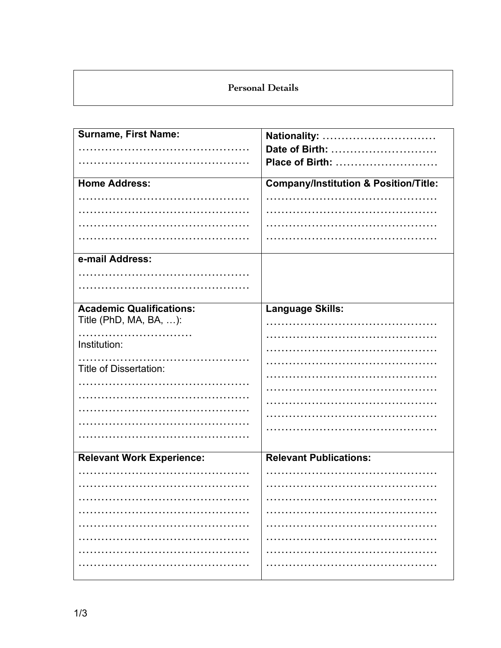# **Personal Details**

| <b>Surname, First Name:</b>      | Nationality:                                     |
|----------------------------------|--------------------------------------------------|
|                                  | Date of Birth:                                   |
|                                  | Place of Birth:                                  |
| <b>Home Address:</b>             | <b>Company/Institution &amp; Position/Title:</b> |
|                                  |                                                  |
|                                  |                                                  |
|                                  |                                                  |
|                                  |                                                  |
| e-mail Address:                  |                                                  |
|                                  |                                                  |
|                                  |                                                  |
| <b>Academic Qualifications:</b>  | Language Skills:                                 |
| Title (PhD, MA, BA, ):           |                                                  |
|                                  |                                                  |
| Institution:                     |                                                  |
| Title of Dissertation:           |                                                  |
|                                  |                                                  |
|                                  |                                                  |
|                                  |                                                  |
|                                  |                                                  |
|                                  |                                                  |
|                                  |                                                  |
| <b>Relevant Work Experience:</b> | <b>Relevant Publications:</b>                    |
|                                  |                                                  |
|                                  |                                                  |
|                                  |                                                  |
|                                  |                                                  |
|                                  |                                                  |
|                                  |                                                  |
|                                  |                                                  |
|                                  |                                                  |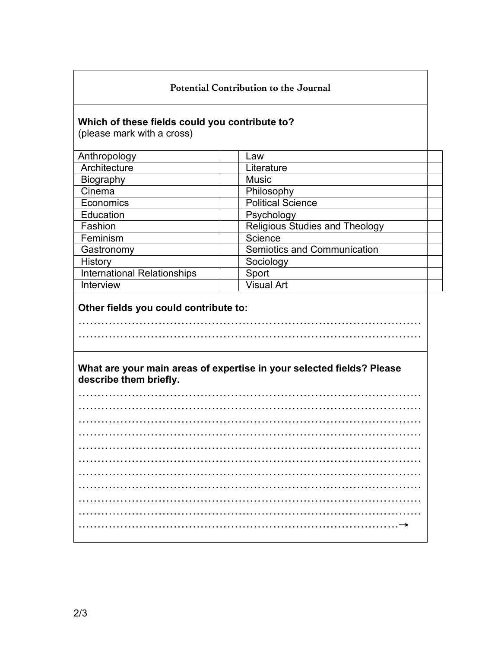#### **Potential Contribution to the Journal**

#### **Which of these fields could you contribute to?**

(please mark with a cross)

| Anthropology                       | Law                                   |
|------------------------------------|---------------------------------------|
| Architecture                       | Literature                            |
| <b>Biography</b>                   | <b>Music</b>                          |
| Cinema                             | Philosophy                            |
| Economics                          | <b>Political Science</b>              |
| Education                          | Psychology                            |
| Fashion                            | <b>Religious Studies and Theology</b> |
| Feminism                           | Science                               |
| Gastronomy                         | Semiotics and Communication           |
| History                            | Sociology                             |
| <b>International Relationships</b> | Sport                                 |
| Interview                          | <b>Visual Art</b>                     |

## **Other fields you could contribute to:**

**What are your main areas of expertise in your selected fields? Please describe them briefly.**

………………………………………………………………………………

………………………………………………………………………………